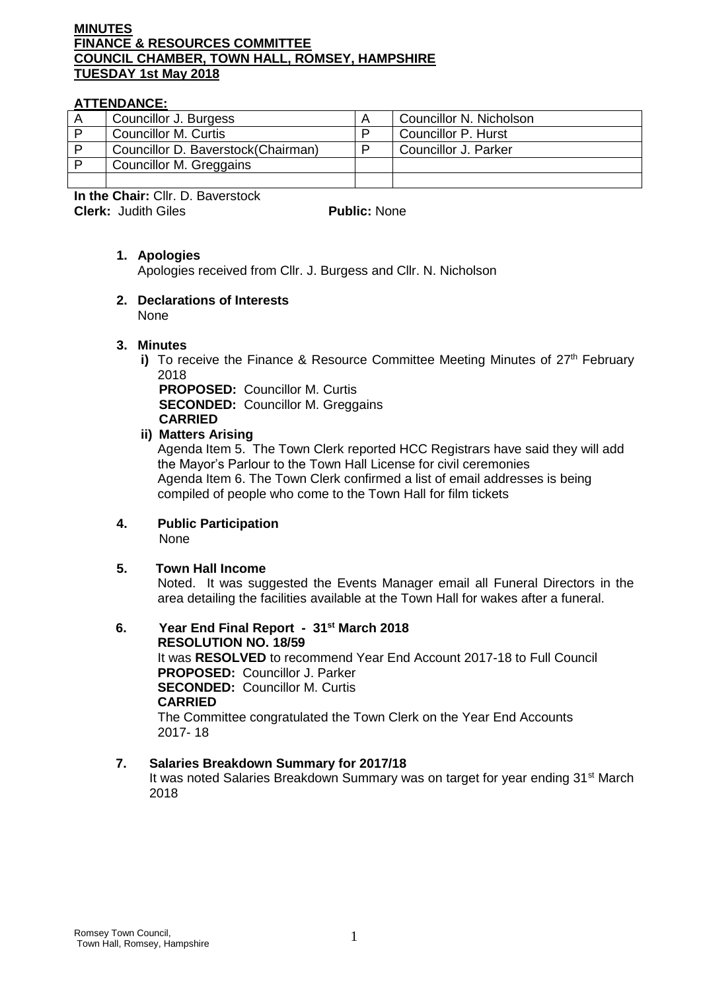## **MINUTES FINANCE & RESOURCES COMMITTEE COUNCIL CHAMBER, TOWN HALL, ROMSEY, HAMPSHIRE TUESDAY 1st May 2018**

# **ATTENDANCE:**

|   | Councillor J. Burgess              |  | Councillor N. Nicholson    |
|---|------------------------------------|--|----------------------------|
| D | <b>Councillor M. Curtis</b>        |  | <b>Councillor P. Hurst</b> |
| D | Councillor D. Baverstock(Chairman) |  | Councillor J. Parker       |
| D | Councillor M. Greggains            |  |                            |
|   |                                    |  |                            |

**In the Chair:** Cllr. D. Baverstock **Clerk:** Judith Giles **Public:** None

# **1. Apologies**

Apologies received from Cllr. J. Burgess and Cllr. N. Nicholson

## **2. Declarations of Interests**  None

## **3. Minutes**

**i)** To receive the Finance & Resource Committee Meeting Minutes of 27<sup>th</sup> February 2018

**PROPOSED:** Councillor M. Curtis **SECONDED:** Councillor M. Greggains **CARRIED**

## **ii) Matters Arising**

Agenda Item 5. The Town Clerk reported HCC Registrars have said they will add the Mayor's Parlour to the Town Hall License for civil ceremonies Agenda Item 6. The Town Clerk confirmed a list of email addresses is being compiled of people who come to the Town Hall for film tickets

#### **4. Public Participation** None

## **5. Town Hall Income**

Noted. It was suggested the Events Manager email all Funeral Directors in the area detailing the facilities available at the Town Hall for wakes after a funeral.

**6. Year End Final Report - 31st March 2018 RESOLUTION NO. 18/59** It was **RESOLVED** to recommend Year End Account 2017-18 to Full Council **PROPOSED:** Councillor J. Parker **SECONDED:** Councillor M. Curtis **CARRIED** The Committee congratulated the Town Clerk on the Year End Accounts 2017- 18

## **7. Salaries Breakdown Summary for 2017/18**

It was noted Salaries Breakdown Summary was on target for year ending 31<sup>st</sup> March 2018